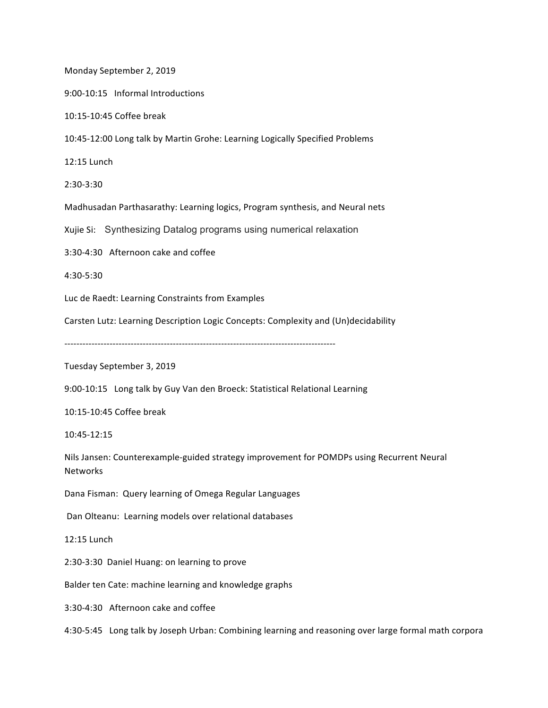Monday September 2, 2019

9:00-10:15 Informal Introductions

10:15-10:45 Coffee break

10:45-12:00 Long talk by Martin Grohe: Learning Logically Specified Problems

12:15 Lunch

2:30-3:30 

Madhusadan Parthasarathy: Learning logics, Program synthesis, and Neural nets

Xujie Si: Synthesizing Datalog programs using numerical relaxation

3:30-4:30 Afternoon cake and coffee

4:30-5:30 

Luc de Raedt: Learning Constraints from Examples

Carsten Lutz: Learning Description Logic Concepts: Complexity and (Un)decidability

Tuesday September 3, 2019

9:00-10:15 Long talk by Guy Van den Broeck: Statistical Relational Learning

10:15-10:45 Coffee break

10:45-12:15 

Nils Jansen: Counterexample-guided strategy improvement for POMDPs using Recurrent Neural **Networks** 

Dana Fisman: Query learning of Omega Regular Languages

Dan Olteanu: Learning models over relational databases

12:15 Lunch

2:30-3:30 Daniel Huang: on learning to prove

Balder ten Cate: machine learning and knowledge graphs

3:30-4:30 Afternoon cake and coffee

4:30-5:45 Long talk by Joseph Urban: Combining learning and reasoning over large formal math corpora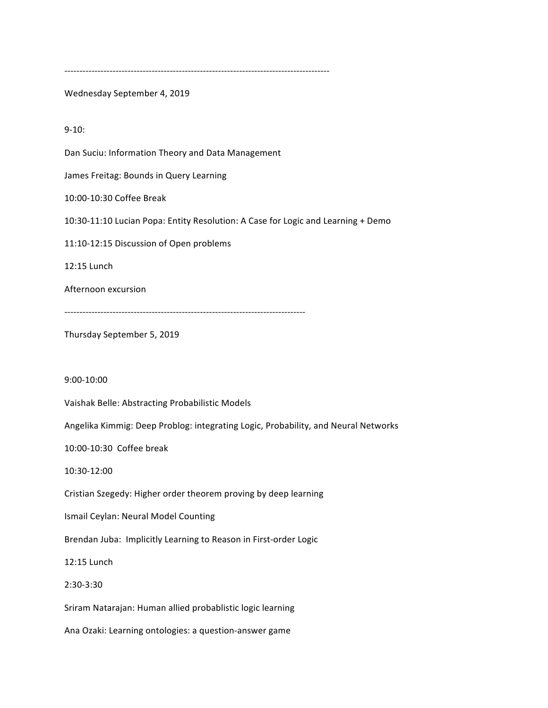----------------------------------------------------------------------------------------

Wednesday September 4, 2019

9-10:

Dan Suciu: Information Theory and Data Management

James Freitag: Bounds in Query Learning

10:00-10:30 Coffee Break

10:30-11:10 Lucian Popa: Entity Resolution: A Case for Logic and Learning + Demo

11:10-12:15 Discussion of Open problems

12:15 Lunch

Afternoon excursion

--------------------------------------------------------------------------------

Thursday September 5, 2019

9:00-10:00

Vaishak Belle: Abstracting Probabilistic Models

Angelika Kimmig: Deep Problog: integrating Logic, Probability, and Neural Networks

10:00-10:30 Coffee break

10:30-12:00

Cristian Szegedy: Higher order theorem proving by deep learning

Ismail Ceylan: Neural Model Counting

Brendan Juba: Implicitly Learning to Reason in First-order Logic

12:15 Lunch

2:30-3:30

Sriram Natarajan: Human allied probablistic logic learning

Ana Ozaki: Learning ontologies: a question-answer game